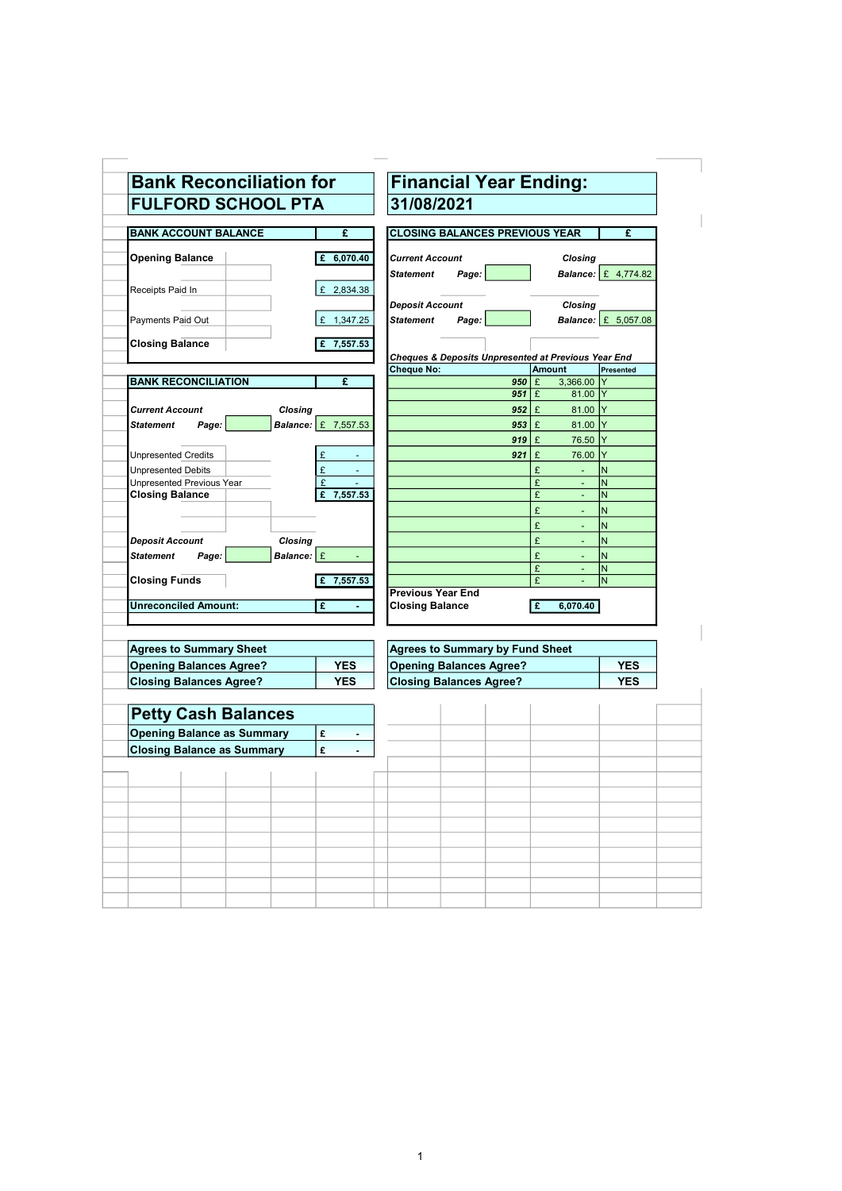| <b>FULFORD SCHOOL PTA</b>         |                            | 31/08/2021                                                           |
|-----------------------------------|----------------------------|----------------------------------------------------------------------|
| <b>BANK ACCOUNT BALANCE</b>       | £                          | <b>CLOSING BALANCES PREVIOUS YEAR</b><br>£                           |
|                                   |                            |                                                                      |
| <b>Opening Balance</b>            | 6,070.40<br>£              | <b>Current Account</b><br>Closing                                    |
|                                   |                            | <b>Balance:</b> £ 4,774.82<br><b>Statement</b><br>Page:              |
| Receipts Paid In                  | £ 2,834.38                 |                                                                      |
|                                   |                            | <b>Deposit Account</b><br>Closing                                    |
| Payments Paid Out                 | 1,347.25                   | <b>Balance:</b> £ 5,057.08<br><b>Statement</b><br>Page:              |
|                                   |                            |                                                                      |
| <b>Closing Balance</b>            | £ 7,557.53                 |                                                                      |
|                                   |                            | Cheques & Deposits Unpresented at Previous Year End<br><b>Amount</b> |
| <b>BANK RECONCILIATION</b>        | £                          | <b>Cheque No:</b><br>Presented<br>3,366.00<br>$950 \mid E$           |
|                                   |                            | $951 \, \mathrm{E}$<br>81.00 Y                                       |
| <b>Current Account</b>            | Closing                    | $952 \mid E$<br>81.00 Y                                              |
| <b>Statement</b><br>Page:         | <b>Balance:</b> £ 7,557.53 | 81.00 Y<br>$953 \mid \text{E}$                                       |
|                                   |                            | 76.50 Y<br>$919 \mid \text{E}$                                       |
| <b>Unpresented Credits</b>        | £                          | 76.00 Y<br>£<br>921                                                  |
| <b>Unpresented Debits</b>         | £                          | £<br>N                                                               |
| <b>Unpresented Previous Year</b>  | £                          | IN.<br>£                                                             |
| <b>Closing Balance</b>            | £<br>7,557.53              | £<br>N<br>$\overline{a}$                                             |
|                                   |                            | £<br>N.                                                              |
|                                   |                            | £<br>N                                                               |
| <b>Deposit Account</b>            | <b>Closing</b>             | IN.<br>£<br>÷.                                                       |
| <b>Statement</b><br>Page:         | Balance: £                 | £<br>N<br>٠                                                          |
|                                   |                            | N<br>£<br>٠                                                          |
| <b>Closing Funds</b>              | 7,557.53                   | £<br>N                                                               |
|                                   |                            | <b>Previous Year End</b>                                             |
| <b>Unreconciled Amount:</b>       | £                          | <b>Closing Balance</b><br>£<br>6,070.40                              |
|                                   |                            |                                                                      |
| <b>Agrees to Summary Sheet</b>    |                            | <b>Agrees to Summary by Fund Sheet</b>                               |
| <b>Opening Balances Agree?</b>    | <b>YES</b>                 | <b>Opening Balances Agree?</b><br><b>YES</b>                         |
| <b>Closing Balances Agree?</b>    | <b>YES</b>                 | <b>Closing Balances Agree?</b><br><b>YES</b>                         |
|                                   |                            |                                                                      |
| <b>Petty Cash Balances</b>        |                            |                                                                      |
| <b>Opening Balance as Summary</b> | £<br>٠                     |                                                                      |
| <b>Closing Balance as Summary</b> | £                          |                                                                      |
|                                   |                            |                                                                      |
|                                   |                            |                                                                      |
|                                   |                            |                                                                      |
|                                   |                            |                                                                      |
|                                   |                            |                                                                      |
|                                   |                            |                                                                      |
|                                   |                            |                                                                      |
|                                   |                            |                                                                      |
|                                   |                            |                                                                      |
|                                   |                            |                                                                      |
|                                   |                            |                                                                      |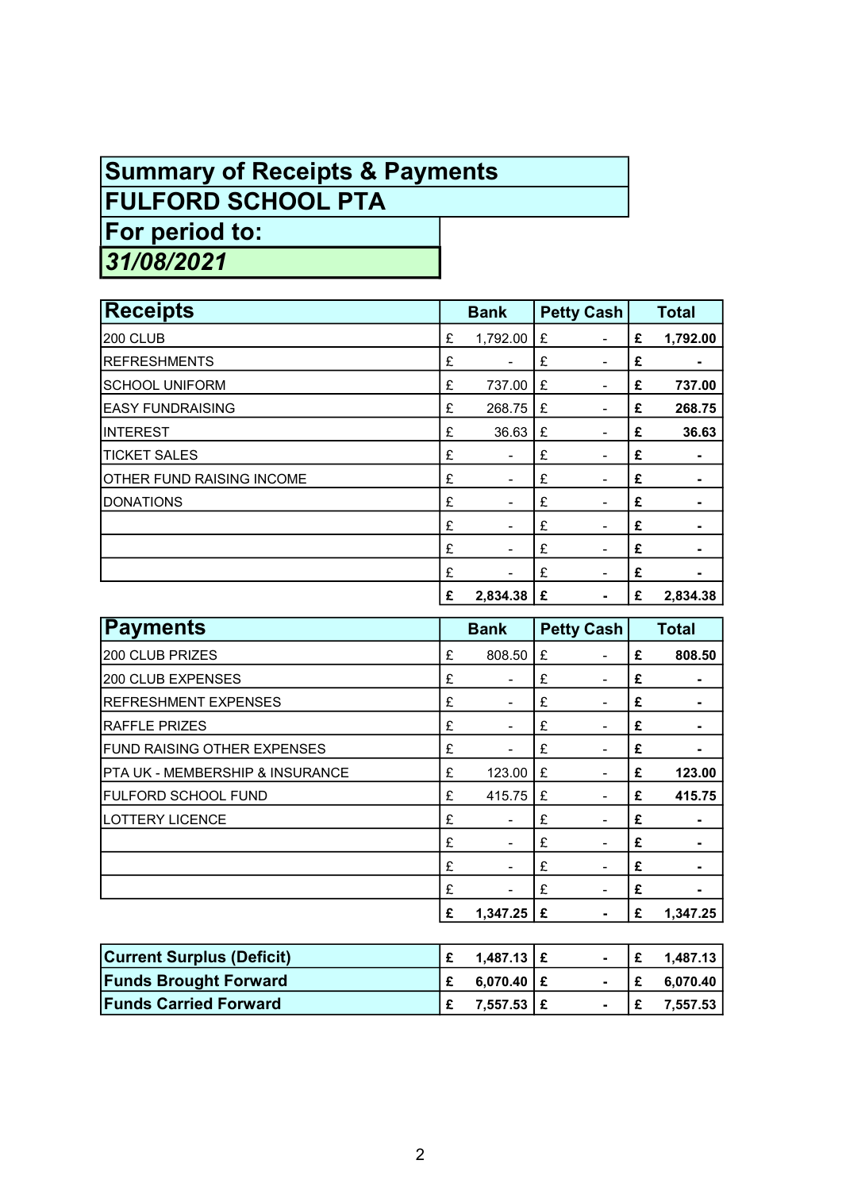## Summary of Receipts & Payments

FULFORD SCHOOL PTA

For period to:

31/08/2021

| <b>Receipts</b>                  |   | <b>Bank</b>              |   | <b>Petty Cash</b> |   | <b>Total</b> |
|----------------------------------|---|--------------------------|---|-------------------|---|--------------|
| 200 CLUB                         | £ | 1,792.00                 | £ | $\overline{a}$    | £ | 1,792.00     |
| <b>REFRESHMENTS</b>              | £ |                          | £ | ۰                 | £ |              |
| SCHOOL UNIFORM                   | £ | 737.00                   | £ | $\blacksquare$    | £ | 737.00       |
| <b>IEASY FUNDRAISING</b>         | £ | 268.75                   | £ | ۰                 | £ | 268.75       |
| <b>INTEREST</b>                  | £ | 36.63                    | £ |                   | £ | 36.63        |
| <b>TICKET SALES</b>              | £ | ۰                        | £ |                   | £ |              |
| <b>OTHER FUND RAISING INCOME</b> | £ | ٠                        | £ | $\blacksquare$    | £ |              |
| <b>DONATIONS</b>                 | £ | ۰                        | £ | $\blacksquare$    | £ |              |
|                                  | £ | ۰                        | £ |                   | £ |              |
|                                  | £ | $\overline{\phantom{a}}$ | £ | $\blacksquare$    | £ |              |
|                                  | £ | -                        | £ | ۰                 | £ |              |
|                                  | £ | 2,834.38                 | £ |                   | £ | 2,834.38     |

| Payments                                   |   | <b>Bank</b>              |   | <b>Petty Cash</b> |   | <b>Total</b> |
|--------------------------------------------|---|--------------------------|---|-------------------|---|--------------|
| 200 CLUB PRIZES                            | £ | 808.50                   | £ |                   | £ | 808.50       |
| 200 CLUB EXPENSES                          | £ | $\blacksquare$           | £ |                   | £ |              |
| <b>REFRESHMENT EXPENSES</b>                | £ | $\overline{\phantom{a}}$ | £ |                   | £ |              |
| <b>RAFFLE PRIZES</b>                       | £ |                          | £ |                   | £ |              |
| <b>FUND RAISING OTHER EXPENSES</b>         | £ | ۰                        | £ | $\blacksquare$    | £ |              |
| <b>PTA UK - MEMBERSHIP &amp; INSURANCE</b> | £ | 123.00                   | £ |                   | £ | 123.00       |
| <b>FULFORD SCHOOL FUND</b>                 | £ | 415.75                   | £ |                   | £ | 415.75       |
| <b>LOTTERY LICENCE</b>                     | £ | $\overline{\phantom{a}}$ | £ |                   | £ |              |
|                                            | £ |                          | £ |                   | £ |              |
|                                            | £ | $\blacksquare$           | £ | $\blacksquare$    | £ |              |
|                                            | £ | -                        | £ |                   | £ |              |
|                                            | £ | 1,347.25                 | £ |                   | £ | 1,347.25     |

| <b>Current Surplus (Deficit)</b> | $1,487.13 \mid E$ | $\blacksquare$ |    | 1.487.13丨 |
|----------------------------------|-------------------|----------------|----|-----------|
| <b>Funds Brought Forward</b>     | $6,070.40$   £    | $\blacksquare$ | ۱£ | 6,070.40  |
| <b>Funds Carried Forward</b>     | 7,557.53 E        | $\blacksquare$ | ۱£ | 7.557.53  |